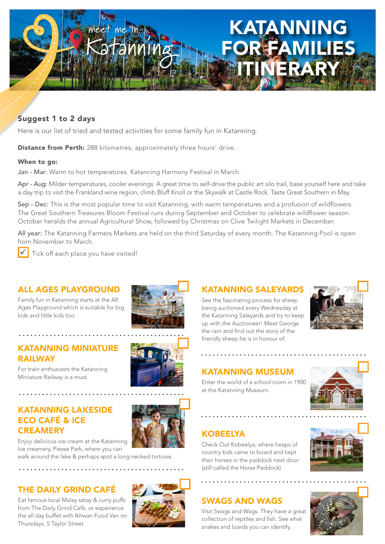

#### Suggest 1 to 2 days

Here is our list of tried and tested activities for some family fun in Katanning.

Distance from Perth: 288 kilometres, approximately three hours' drive.

#### When to ao:

Jan - Mar: Warm to hot temperatures. Katanning Harmony Festival in March.

Apr - Aug: Milder temperatures, cooler evenings. A great time to self-drive the public art silo trail, base yourself here and take a day trip to visit the Frankland wine region, climb Bluff Knoll or the Skywalk at Castle Rock. Taste Great Southern in May.

Sep - Dec: This is the most popular time to visit Katanning, with warm temperatures and a profusion of wildflowers. The Great Southern Treasures Bloom Festival runs during September and October to celebrate wildflower season. October heralds the annual Agricultural Show, followed by Christmas on Clive Twilight Markets in December.

All year: The Katanning Farmers Markets are held on the third Saturday of every month. The Katanning Pool is open from November to March.

 $\mathbf{V}$  Tick off each place you have visited!

#### ALL AGES PLAYGROUND

Family fun in Katanning starts at the All Ages Playground which is suitable for big kids and little kids too.



# KATANNING MINIATURE RAILWAY



KATANNING MUSEUM

KATANNING SALEYARDS See the fascinating process for sheep being auctioned every Wednesday at the Katanning Saleyards and try to keep up with the Auctioneer! Meet George the ram and find out the story of the friendly sheep he is in honour of.

Enter the world of a school room in 1900 at the Katanning Museum..





### **KOBEELYA**

Check Out Kobeelya, where heaps of country kids came to board and kept their horses in the paddock next door (still called the Horse Paddock).

# SWAGS AND WAGS

Visit Swags and Wags. They have a great collection of reptiles and fish. See what snakes and lizards you can identify.



KATANNING LAKESIDE

For train enthusiasts the Katanning Miniature Railway is a must.

. . . . . . . . . . . . . . . . .

# ECO CAFÉ & ICE **CREAMERY**



Enjoy delicious ice-cream at the Katanning Ice creamery, Piesse Park, where you can walk around the lake & perhaps spot a long necked tortoise.

### THE DAILY GRIND CAFÉ

Eat famous local Malay satay & curry puffs from The Daily Grind Café, or experience the all day buffet with Ikhwan Food Van on Thursdays. 5 Taylor Street.